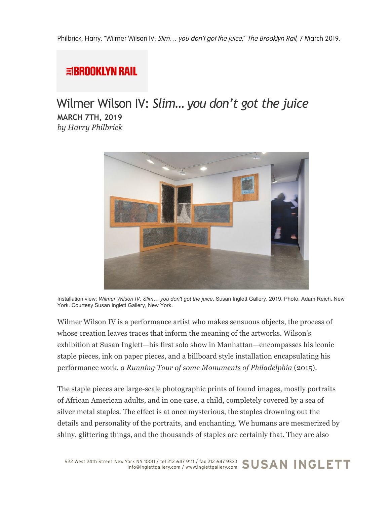## **国BROOKLYN RAIL**

## Wilmer Wilson IV: *Slim… you don't got the juice* **MARCH 7TH, 2019** *by Harry Philbrick*



Installation view: *Wilmer Wilson IV: Slim… you don't got the juice*, Susan Inglett Gallery, 2019. Photo: Adam Reich, New York. Courtesy Susan Inglett Gallery, New York.

Wilmer Wilson IV is a performance artist who makes sensuous objects, the process of whose creation leaves traces that inform the meaning of the artworks. Wilson's exhibition at Susan Inglett—his first solo show in Manhattan—encompasses his iconic staple pieces, ink on paper pieces, and a billboard style installation encapsulating his performance work, *a Running Tour of some Monuments of Philadelphia* (2015).

The staple pieces are large-scale photographic prints of found images, mostly portraits of African American adults, and in one case, a child, completely covered by a sea of silver metal staples. The effect is at once mysterious, the staples drowning out the details and personality of the portraits, and enchanting. We humans are mesmerized by shiny, glittering things, and the thousands of staples are certainly that. They are also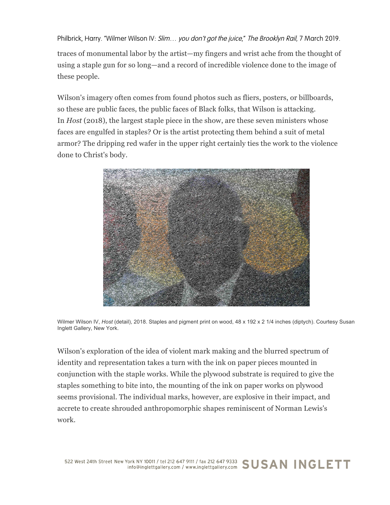Philbrick, Harry. "Wilmer Wilson IV: Slim... you don't got the juice," The Brooklyn Rail, 7 March 2019.

traces of monumental labor by the artist—my fingers and wrist ache from the thought of using a staple gun for so long—and a record of incredible violence done to the image of these people.

Wilson's imagery often comes from found photos such as fliers, posters, or billboards, so these are public faces, the public faces of Black folks, that Wilson is attacking. In *Host* (2018), the largest staple piece in the show, are these seven ministers whose faces are engulfed in staples? Or is the artist protecting them behind a suit of metal armor? The dripping red wafer in the upper right certainly ties the work to the violence done to Christ's body.



Wilmer Wilson IV, *Host* (detail), 2018. Staples and pigment print on wood, 48 x 192 x 2 1/4 inches (diptych). Courtesy Susan Inglett Gallery, New York.

Wilson's exploration of the idea of violent mark making and the blurred spectrum of identity and representation takes a turn with the ink on paper pieces mounted in conjunction with the staple works. While the plywood substrate is required to give the staples something to bite into, the mounting of the ink on paper works on plywood seems provisional. The individual marks, however, are explosive in their impact, and accrete to create shrouded anthropomorphic shapes reminiscent of Norman Lewis's work.